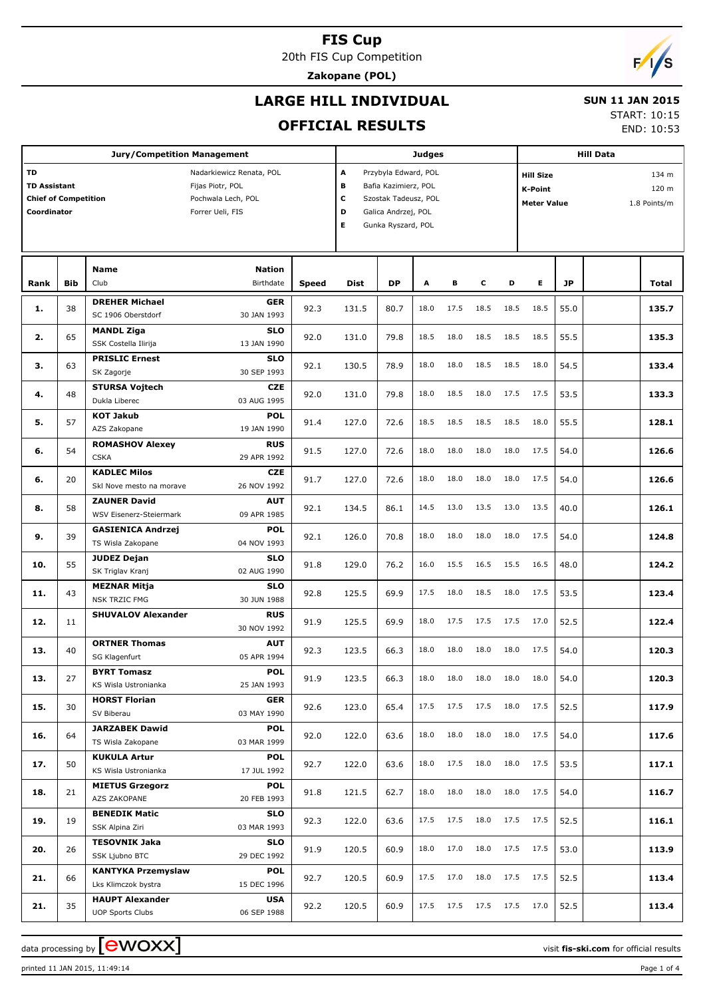20th FIS Cup Competition

**Zakopane (POL)**

## **LARGE HILL INDIVIDUAL**

#### **SUN 11 JAN 2015** START: 10:15

**OFFICIAL RESULTS**

|                                                                                                                                                                   |            | <b>Jury/Competition Management</b>                |                           |                                                                                                                                            |       |           | <b>Judges</b> |      |                     |                                                                                            |      |           | <b>Hill Data</b> |       |
|-------------------------------------------------------------------------------------------------------------------------------------------------------------------|------------|---------------------------------------------------|---------------------------|--------------------------------------------------------------------------------------------------------------------------------------------|-------|-----------|---------------|------|---------------------|--------------------------------------------------------------------------------------------|------|-----------|------------------|-------|
| TD<br>Nadarkiewicz Renata, POL<br><b>TD Assistant</b><br>Fijas Piotr, POL<br><b>Chief of Competition</b><br>Pochwala Lech, POL<br>Coordinator<br>Forrer Ueli, FIS |            |                                                   |                           | A<br>Przybyla Edward, POL<br>в<br>Bafia Kazimierz, POL<br>С<br>Szostak Tadeusz, POL<br>D<br>Galica Andrzej, POL<br>Е<br>Gunka Ryszard, POL |       |           |               |      |                     | <b>Hill Size</b><br>134 m<br>120 m<br><b>K-Point</b><br><b>Meter Value</b><br>1.8 Points/m |      |           |                  |       |
|                                                                                                                                                                   |            | <b>Name</b>                                       | <b>Nation</b>             |                                                                                                                                            |       |           |               |      |                     |                                                                                            |      |           |                  |       |
| Rank                                                                                                                                                              | <b>Bib</b> | Club                                              | Birthdate                 | <b>Speed</b>                                                                                                                               | Dist  | <b>DP</b> | A             | в    | c                   | D                                                                                          | E.   | <b>JP</b> |                  | Total |
| 1.                                                                                                                                                                | 38         | <b>DREHER Michael</b><br>SC 1906 Oberstdorf       | <b>GER</b><br>30 JAN 1993 | 92.3                                                                                                                                       | 131.5 | 80.7      | 18.0          | 17.5 | 18.5                | 18.5                                                                                       | 18.5 | 55.0      |                  | 135.7 |
| 2.                                                                                                                                                                | 65         | <b>MANDL Ziga</b><br>SSK Costella Ilirija         | <b>SLO</b><br>13 JAN 1990 | 92.0                                                                                                                                       | 131.0 | 79.8      | 18.5          | 18.0 | 18.5                | 18.5                                                                                       | 18.5 | 55.5      |                  | 135.3 |
| з.                                                                                                                                                                | 63         | <b>PRISLIC Ernest</b><br>SK Zagorje               | <b>SLO</b><br>30 SEP 1993 | 92.1                                                                                                                                       | 130.5 | 78.9      | 18.0          | 18.0 | 18.5                | 18.5                                                                                       | 18.0 | 54.5      |                  | 133.4 |
| 4.                                                                                                                                                                | 48         | <b>STURSA Vojtech</b><br>Dukla Liberec            | <b>CZE</b><br>03 AUG 1995 | 92.0                                                                                                                                       | 131.0 | 79.8      | 18.0          | 18.5 | 18.0                | 17.5                                                                                       | 17.5 | 53.5      |                  | 133.3 |
| 5.                                                                                                                                                                | 57         | <b>KOT Jakub</b><br>AZS Zakopane                  | <b>POL</b><br>19 JAN 1990 | 91.4                                                                                                                                       | 127.0 | 72.6      | 18.5          | 18.5 | 18.5                | 18.5                                                                                       | 18.0 | 55.5      |                  | 128.1 |
| 6.                                                                                                                                                                | 54         | <b>ROMASHOV Alexey</b><br><b>CSKA</b>             | <b>RUS</b><br>29 APR 1992 | 91.5                                                                                                                                       | 127.0 | 72.6      | 18.0          | 18.0 | 18.0                | 18.0                                                                                       | 17.5 | 54.0      |                  | 126.6 |
| 6.                                                                                                                                                                | 20         | <b>KADLEC Milos</b><br>Skl Nove mesto na morave   | <b>CZE</b><br>26 NOV 1992 | 91.7                                                                                                                                       | 127.0 | 72.6      | 18.0          | 18.0 | 18.0                | 18.0                                                                                       | 17.5 | 54.0      |                  | 126.6 |
| 8.                                                                                                                                                                | 58         | <b>ZAUNER David</b><br>WSV Eisenerz-Steiermark    | <b>AUT</b><br>09 APR 1985 | 92.1                                                                                                                                       | 134.5 | 86.1      | 14.5          | 13.0 | 13.5                | 13.0                                                                                       | 13.5 | 40.0      |                  | 126.1 |
| 9.                                                                                                                                                                | 39         | <b>GASIENICA Andrzej</b><br>TS Wisla Zakopane     | POL<br>04 NOV 1993        | 92.1                                                                                                                                       | 126.0 | 70.8      | 18.0          | 18.0 | 18.0                | 18.0                                                                                       | 17.5 | 54.0      |                  | 124.8 |
| 10.                                                                                                                                                               | 55         | <b>JUDEZ Dejan</b><br>SK Triglav Kranj            | <b>SLO</b><br>02 AUG 1990 | 91.8                                                                                                                                       | 129.0 | 76.2      | 16.0          | 15.5 | 16.5                | 15.5                                                                                       | 16.5 | 48.0      |                  | 124.2 |
| 11.                                                                                                                                                               | 43         | <b>MEZNAR Mitja</b><br><b>NSK TRZIC FMG</b>       | <b>SLO</b><br>30 JUN 1988 | 92.8                                                                                                                                       | 125.5 | 69.9      | 17.5          | 18.0 | 18.5                | 18.0                                                                                       | 17.5 | 53.5      |                  | 123.4 |
| 12.                                                                                                                                                               | 11         | <b>SHUVALOV Alexander</b>                         | <b>RUS</b><br>30 NOV 1992 | 91.9                                                                                                                                       | 125.5 | 69.9      | 18.0          | 17.5 | 17.5                | 17.5                                                                                       | 17.0 | 52.5      |                  | 122.4 |
| 13.                                                                                                                                                               | 40         | <b>ORTNER Thomas</b><br>SG Klagenfurt             | <b>AUT</b><br>05 APR 1994 | 92.3                                                                                                                                       | 123.5 | 66.3      | 18.0          | 18.0 | 18.0                | 18.0                                                                                       | 17.5 | 54.0      |                  | 120.3 |
| 13.                                                                                                                                                               | 27         | <b>BYRT Tomasz</b><br>KS Wisla Ustronianka        | <b>POL</b><br>25 JAN 1993 | 91.9                                                                                                                                       | 123.5 | 66.3      | 18.0          | 18.0 | 18.0                | 18.0                                                                                       | 18.0 | 54.0      |                  | 120.3 |
| 15.                                                                                                                                                               | 30         | <b>HORST Florian</b><br>SV Biberau                | <b>GER</b><br>03 MAY 1990 | 92.6                                                                                                                                       | 123.0 | 65.4      | 17.5          | 17.5 | 17.5                | 18.0                                                                                       | 17.5 | 52.5      |                  | 117.9 |
| 16.                                                                                                                                                               | 64         | <b>JARZABEK Dawid</b><br>TS Wisla Zakopane        | <b>POL</b><br>03 MAR 1999 | 92.0                                                                                                                                       | 122.0 | 63.6      | 18.0          | 18.0 | 18.0                | 18.0                                                                                       | 17.5 | 54.0      |                  | 117.6 |
| 17.                                                                                                                                                               | 50         | <b>KUKULA Artur</b><br>KS Wisla Ustronianka       | POL<br>17 JUL 1992        | 92.7                                                                                                                                       | 122.0 | 63.6      | 18.0          | 17.5 | 18.0                | 18.0                                                                                       | 17.5 | 53.5      |                  | 117.1 |
| 18.                                                                                                                                                               | 21         | <b>MIETUS Grzegorz</b><br>AZS ZAKOPANE            | POL<br>20 FEB 1993        | 91.8                                                                                                                                       | 121.5 | 62.7      | 18.0          | 18.0 | 18.0                | 18.0                                                                                       | 17.5 | 54.0      |                  | 116.7 |
| 19.                                                                                                                                                               | 19         | <b>BENEDIK Matic</b><br>SSK Alpina Ziri           | SLO<br>03 MAR 1993        | 92.3                                                                                                                                       | 122.0 | 63.6      | 17.5          | 17.5 | 18.0                | 17.5                                                                                       | 17.5 | 52.5      |                  | 116.1 |
| 20.                                                                                                                                                               | 26         | <b>TESOVNIK Jaka</b><br>SSK Ljubno BTC            | SLO<br>29 DEC 1992        | 91.9                                                                                                                                       | 120.5 | 60.9      | 18.0          | 17.0 | 18.0                | 17.5                                                                                       | 17.5 | 53.0      |                  | 113.9 |
| 21.                                                                                                                                                               | 66         | <b>KANTYKA Przemyslaw</b><br>Lks Klimczok bystra  | POL<br>15 DEC 1996        | 92.7                                                                                                                                       | 120.5 | 60.9      | 17.5          | 17.0 | 18.0                | 17.5                                                                                       | 17.5 | 52.5      |                  | 113.4 |
| 21.                                                                                                                                                               | 35         | <b>HAUPT Alexander</b><br><b>UOP Sports Clubs</b> | <b>USA</b><br>06 SEP 1988 | 92.2                                                                                                                                       | 120.5 | 60.9      | 17.5          |      | 17.5 17.5 17.5 17.0 |                                                                                            |      | 52.5      |                  | 113.4 |

data processing by **CWOXX** and  $\overline{C}$  and  $\overline{C}$  and  $\overline{C}$  and  $\overline{C}$  and  $\overline{C}$  and  $\overline{C}$  and  $\overline{C}$  and  $\overline{C}$  and  $\overline{C}$  and  $\overline{C}$  and  $\overline{C}$  and  $\overline{C}$  and  $\overline{C}$  and  $\overline{C}$  and  $\overline{C}$ 

printed 11 JAN 2015, 11:49:14 Page 1 of 4





END: 10:53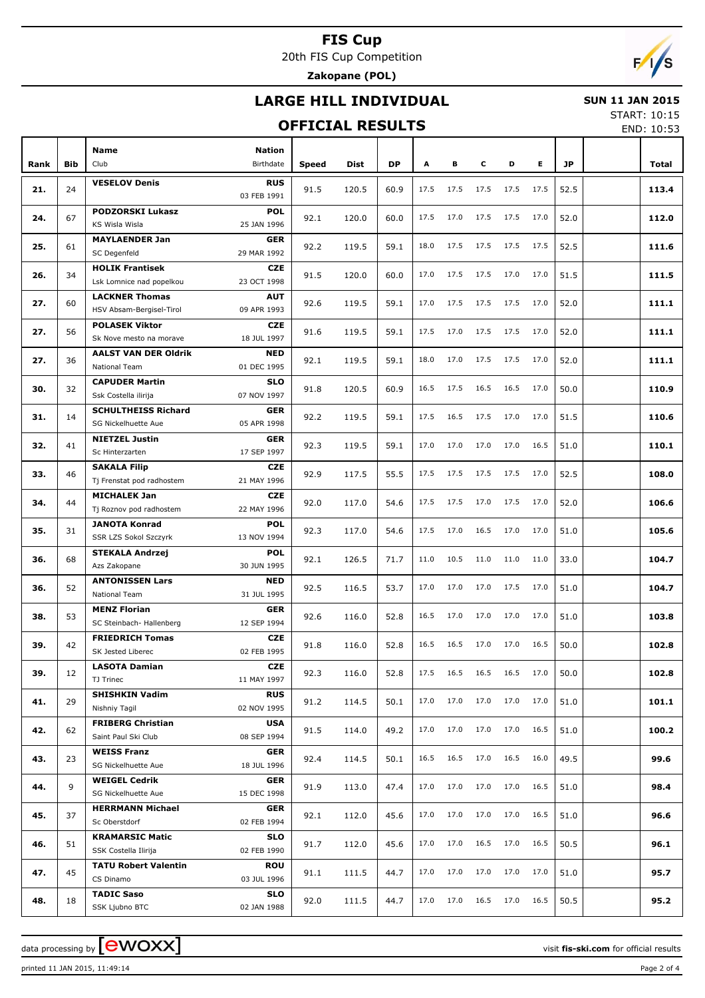20th FIS Cup Competition **Zakopane (POL)**



## **LARGE HILL INDIVIDUAL**

### **OFFICIAL RESULTS**

 **SUN 11 JAN 2015** START: 10:15

END: 10:53

|      |            |                                                     |                            |       |       |           |      |      |      |      |      |           | <b>LIVD. 10.JJ</b> |
|------|------------|-----------------------------------------------------|----------------------------|-------|-------|-----------|------|------|------|------|------|-----------|--------------------|
| Rank | <b>Bib</b> | <b>Name</b><br>Club                                 | <b>Nation</b><br>Birthdate | Speed | Dist  | <b>DP</b> | A    | в    | c    | D    | E.   | <b>JP</b> | Total              |
|      |            | <b>VESELOV Denis</b>                                | <b>RUS</b>                 |       |       |           |      |      |      |      |      |           |                    |
| 21.  | 24         |                                                     | 03 FEB 1991                | 91.5  | 120.5 | 60.9      | 17.5 | 17.5 | 17.5 | 17.5 | 17.5 | 52.5      | 113.4              |
| 24.  | 67         | <b>PODZORSKI Lukasz</b>                             | <b>POL</b>                 | 92.1  | 120.0 | 60.0      | 17.5 | 17.0 | 17.5 | 17.5 | 17.0 | 52.0      | 112.0              |
|      |            | <b>KS Wisla Wisla</b>                               | 25 JAN 1996                |       |       |           |      |      |      |      |      |           |                    |
| 25.  | 61         | <b>MAYLAENDER Jan</b><br>SC Degenfeld               | <b>GER</b>                 | 92.2  | 119.5 | 59.1      | 18.0 | 17.5 | 17.5 | 17.5 | 17.5 | 52.5      | 111.6              |
|      |            | <b>HOLIK Frantisek</b>                              | 29 MAR 1992<br><b>CZE</b>  |       |       |           |      |      |      |      |      |           |                    |
| 26.  | 34         | Lsk Lomnice nad popelkou                            | 23 OCT 1998                | 91.5  | 120.0 | 60.0      | 17.0 | 17.5 | 17.5 | 17.0 | 17.0 | 51.5      | 111.5              |
|      |            | <b>LACKNER Thomas</b>                               | <b>AUT</b>                 |       |       |           |      |      |      |      |      |           |                    |
| 27.  | 60         | HSV Absam-Bergisel-Tirol                            | 09 APR 1993                | 92.6  | 119.5 | 59.1      | 17.0 | 17.5 | 17.5 | 17.5 | 17.0 | 52.0      | 111.1              |
| 27.  | 56         | <b>POLASEK Viktor</b>                               | <b>CZE</b>                 | 91.6  | 119.5 | 59.1      | 17.5 | 17.0 | 17.5 | 17.5 | 17.0 | 52.0      | 111.1              |
|      |            | Sk Nove mesto na morave                             | 18 JUL 1997                |       |       |           |      |      |      |      |      |           |                    |
| 27.  | 36         | <b>AALST VAN DER Oldrik</b>                         | <b>NED</b>                 | 92.1  | 119.5 | 59.1      | 18.0 | 17.0 | 17.5 | 17.5 | 17.0 | 52.0      | 111.1              |
|      |            | National Team                                       | 01 DEC 1995                |       |       |           |      |      |      |      |      |           |                    |
| 30.  | 32         | <b>CAPUDER Martin</b><br>Ssk Costella ilirija       | <b>SLO</b><br>07 NOV 1997  | 91.8  | 120.5 | 60.9      | 16.5 | 17.5 | 16.5 | 16.5 | 17.0 | 50.0      | 110.9              |
|      |            | <b>SCHULTHEISS Richard</b>                          | <b>GER</b>                 |       |       |           |      |      |      |      |      |           |                    |
| 31.  | 14         | SG Nickelhuette Aue                                 | 05 APR 1998                | 92.2  | 119.5 | 59.1      | 17.5 | 16.5 | 17.5 | 17.0 | 17.0 | 51.5      | 110.6              |
|      |            | <b>NIETZEL Justin</b>                               | <b>GER</b>                 |       |       |           | 17.0 | 17.0 | 17.0 | 17.0 |      |           |                    |
| 32.  | 41         | Sc Hinterzarten                                     | 17 SEP 1997                | 92.3  | 119.5 | 59.1      |      |      |      |      | 16.5 | 51.0      | 110.1              |
| 33.  | 46         | <b>SAKALA Filip</b>                                 | <b>CZE</b>                 | 92.9  | 117.5 | 55.5      | 17.5 | 17.5 | 17.5 | 17.5 | 17.0 | 52.5      | 108.0              |
|      |            | Tj Frenstat pod radhostem                           | 21 MAY 1996                |       |       |           |      |      |      |      |      |           |                    |
| 34.  | 44         | <b>MICHALEK Jan</b><br>Tj Roznov pod radhostem      | <b>CZE</b><br>22 MAY 1996  | 92.0  | 117.0 | 54.6      | 17.5 | 17.5 | 17.0 | 17.5 | 17.0 | 52.0      | 106.6              |
|      |            | <b>JANOTA Konrad</b>                                | <b>POL</b>                 |       |       |           |      |      |      |      |      |           |                    |
| 35.  | 31         | SSR LZS Sokol Szczyrk                               | 13 NOV 1994                | 92.3  | 117.0 | 54.6      | 17.5 | 17.0 | 16.5 | 17.0 | 17.0 | 51.0      | 105.6              |
|      |            | <b>STEKALA Andrzej</b>                              | <b>POL</b>                 |       |       |           |      |      |      |      |      |           |                    |
| 36.  | 68         | Azs Zakopane                                        | 30 JUN 1995                | 92.1  | 126.5 | 71.7      | 11.0 | 10.5 | 11.0 | 11.0 | 11.0 | 33.0      | 104.7              |
| 36.  | 52         | <b>ANTONISSEN Lars</b>                              | <b>NED</b>                 | 92.5  | 116.5 | 53.7      | 17.0 | 17.0 | 17.0 | 17.5 | 17.0 | 51.0      | 104.7              |
|      |            | National Team                                       | 31 JUL 1995                |       |       |           |      |      |      |      |      |           |                    |
| 38.  | 53         | <b>MENZ Florian</b><br>SC Steinbach- Hallenberg     | <b>GER</b><br>12 SEP 1994  | 92.6  | 116.0 | 52.8      | 16.5 | 17.0 | 17.0 | 17.0 | 17.0 | 51.0      | 103.8              |
|      |            | <b>FRIEDRICH Tomas</b>                              | <b>CZE</b>                 |       |       |           |      |      |      |      |      |           |                    |
| 39.  | 42         | SK Jested Liberec                                   | 02 FEB 1995                | 91.8  | 116.0 | 52.8      | 16.5 | 16.5 | 17.0 | 17.0 | 16.5 | 50.0      | 102.8              |
|      |            | <b>LASOTA Damian</b>                                | <b>CZE</b>                 |       |       |           |      |      |      |      |      |           |                    |
| 39.  | 12         | TJ Trinec                                           | 11 MAY 1997                | 92.3  | 116.0 | 52.8      | 17.5 | 16.5 | 16.5 | 16.5 | 17.0 | 50.0      | 102.8              |
| 41.  | 29         | <b>SHISHKIN Vadim</b>                               | <b>RUS</b>                 | 91.2  | 114.5 | 50.1      | 17.0 | 17.0 | 17.0 | 17.0 | 17.0 | 51.0      | 101.1              |
|      |            | Nishniy Tagil                                       | 02 NOV 1995                |       |       |           |      |      |      |      |      |           |                    |
| 42.  | 62         | <b>FRIBERG Christian</b>                            | <b>USA</b>                 | 91.5  | 114.0 | 49.2      | 17.0 | 17.0 | 17.0 | 17.0 | 16.5 | 51.0      | 100.2              |
|      |            | Saint Paul Ski Club<br><b>WEISS Franz</b>           | 08 SEP 1994<br>GER         |       |       |           |      |      |      |      |      |           |                    |
| 43.  | 23         | SG Nickelhuette Aue                                 | 18 JUL 1996                | 92.4  | 114.5 | 50.1      | 16.5 | 16.5 | 17.0 | 16.5 | 16.0 | 49.5      | 99.6               |
|      |            | <b>WEIGEL Cedrik</b>                                | GER                        |       |       |           |      |      |      |      |      |           |                    |
| 44.  | 9          | SG Nickelhuette Aue                                 | 15 DEC 1998                | 91.9  | 113.0 | 47.4      | 17.0 | 17.0 | 17.0 | 17.0 | 16.5 | 51.0      | 98.4               |
| 45.  | 37         | <b>HERRMANN Michael</b>                             | GER                        | 92.1  | 112.0 | 45.6      | 17.0 | 17.0 | 17.0 | 17.0 | 16.5 | 51.0      | 96.6               |
|      |            | Sc Oberstdorf                                       | 02 FEB 1994                |       |       |           |      |      |      |      |      |           |                    |
| 46.  | 51         | <b>KRAMARSIC Matic</b>                              | <b>SLO</b>                 | 91.7  | 112.0 | 45.6      | 17.0 | 17.0 | 16.5 | 17.0 | 16.5 | 50.5      | 96.1               |
|      |            | SSK Costella Ilirija<br><b>TATU Robert Valentin</b> | 02 FEB 1990<br><b>ROU</b>  |       |       |           |      |      |      |      |      |           |                    |
| 47.  | 45         | CS Dinamo                                           | 03 JUL 1996                | 91.1  | 111.5 | 44.7      | 17.0 | 17.0 | 17.0 | 17.0 | 17.0 | 51.0      | 95.7               |
|      |            | <b>TADIC Saso</b>                                   | <b>SLO</b>                 |       |       |           |      |      |      |      |      |           |                    |
| 48.  | 18         | SSK Ljubno BTC                                      | 02 JAN 1988                | 92.0  | 111.5 | 44.7      | 17.0 | 17.0 | 16.5 | 17.0 | 16.5 | 50.5      | 95.2               |

data processing by **CWOXX**  $\blacksquare$ 

printed 11 JAN 2015, 11:49:14 Page 2 of 4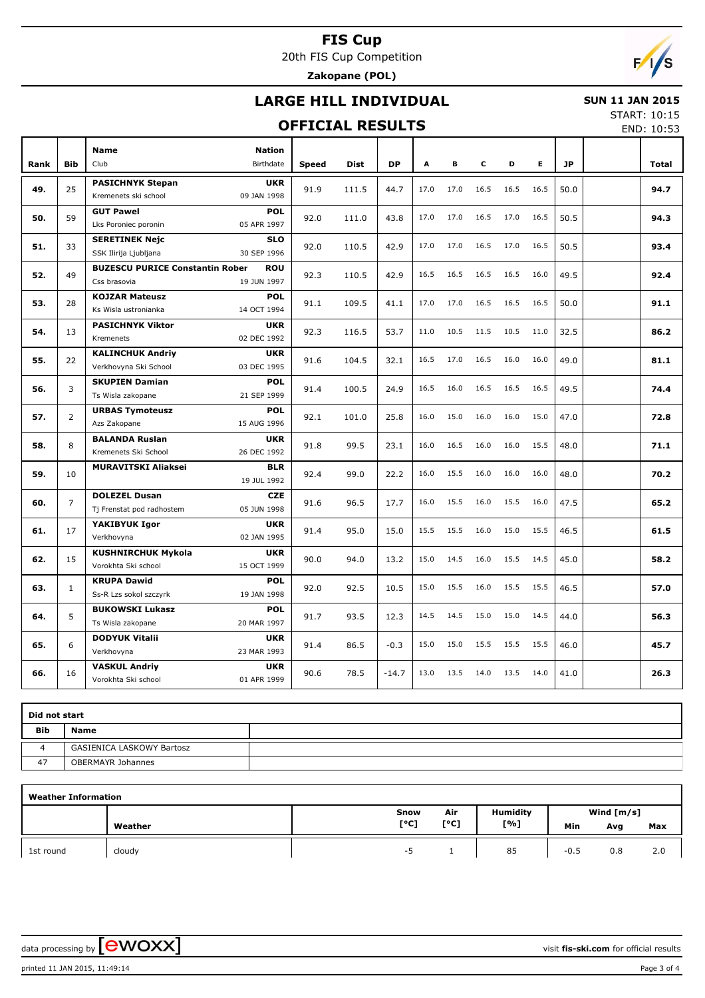20th FIS Cup Competition

**Zakopane (POL)**

## **LARGE HILL INDIVIDUAL**

#### **OFFICIAL RESULTS**

 **SUN 11 JAN 2015** START: 10:15

END: 10:53

|      |                | <b>Name</b>                                            | <b>Nation</b>             |              |             |           |      |      |      |      |      |           |              |
|------|----------------|--------------------------------------------------------|---------------------------|--------------|-------------|-----------|------|------|------|------|------|-----------|--------------|
| Rank | <b>Bib</b>     | Club                                                   | Birthdate                 | <b>Speed</b> | <b>Dist</b> | <b>DP</b> | A    | в    | C    | D    | E    | <b>JP</b> | <b>Total</b> |
| 49.  | 25             | <b>PASICHNYK Stepan</b><br>Kremenets ski school        | <b>UKR</b><br>09 JAN 1998 | 91.9         | 111.5       | 44.7      | 17.0 | 17.0 | 16.5 | 16.5 | 16.5 | 50.0      | 94.7         |
| 50.  | 59             | <b>GUT Pawel</b><br>Lks Poroniec poronin               | <b>POL</b><br>05 APR 1997 | 92.0         | 111.0       | 43.8      | 17.0 | 17.0 | 16.5 | 17.0 | 16.5 | 50.5      | 94.3         |
| 51.  | 33             | <b>SERETINEK Nejc</b><br>SSK Ilirija Ljubljana         | <b>SLO</b><br>30 SEP 1996 | 92.0         | 110.5       | 42.9      | 17.0 | 17.0 | 16.5 | 17.0 | 16.5 | 50.5      | 93.4         |
| 52.  | 49             | <b>BUZESCU PURICE Constantin Rober</b><br>Css brasovia | <b>ROU</b><br>19 JUN 1997 | 92.3         | 110.5       | 42.9      | 16.5 | 16.5 | 16.5 | 16.5 | 16.0 | 49.5      | 92.4         |
| 53.  | 28             | <b>KOJZAR Mateusz</b><br>Ks Wisla ustronianka          | <b>POL</b><br>14 OCT 1994 | 91.1         | 109.5       | 41.1      | 17.0 | 17.0 | 16.5 | 16.5 | 16.5 | 50.0      | 91.1         |
| 54.  | 13             | <b>PASICHNYK Viktor</b><br>Kremenets                   | <b>UKR</b><br>02 DEC 1992 | 92.3         | 116.5       | 53.7      | 11.0 | 10.5 | 11.5 | 10.5 | 11.0 | 32.5      | 86.2         |
| 55.  | 22             | <b>KALINCHUK Andriy</b><br>Verkhovyna Ski School       | <b>UKR</b><br>03 DEC 1995 | 91.6         | 104.5       | 32.1      | 16.5 | 17.0 | 16.5 | 16.0 | 16.0 | 49.0      | 81.1         |
| 56.  | 3              | <b>SKUPIEN Damian</b><br>Ts Wisla zakopane             | <b>POL</b><br>21 SEP 1999 | 91.4         | 100.5       | 24.9      | 16.5 | 16.0 | 16.5 | 16.5 | 16.5 | 49.5      | 74.4         |
| 57.  | $\overline{2}$ | <b>URBAS Tymoteusz</b><br>Azs Zakopane                 | <b>POL</b><br>15 AUG 1996 | 92.1         | 101.0       | 25.8      | 16.0 | 15.0 | 16.0 | 16.0 | 15.0 | 47.0      | 72.8         |
| 58.  | 8              | <b>BALANDA Ruslan</b><br>Kremenets Ski School          | <b>UKR</b><br>26 DEC 1992 | 91.8         | 99.5        | 23.1      | 16.0 | 16.5 | 16.0 | 16.0 | 15.5 | 48.0      | 71.1         |
| 59.  | 10             | <b>MURAVITSKI Aliaksei</b>                             | <b>BLR</b><br>19 JUL 1992 | 92.4         | 99.0        | 22.2      | 16.0 | 15.5 | 16.0 | 16.0 | 16.0 | 48.0      | 70.2         |
| 60.  | $\overline{7}$ | <b>DOLEZEL Dusan</b><br>Tj Frenstat pod radhostem      | <b>CZE</b><br>05 JUN 1998 | 91.6         | 96.5        | 17.7      | 16.0 | 15.5 | 16.0 | 15.5 | 16.0 | 47.5      | 65.2         |
| 61.  | 17             | YAKIBYUK Igor<br>Verkhovyna                            | <b>UKR</b><br>02 JAN 1995 | 91.4         | 95.0        | 15.0      | 15.5 | 15.5 | 16.0 | 15.0 | 15.5 | 46.5      | 61.5         |
| 62.  | 15             | <b>KUSHNIRCHUK Mykola</b><br>Vorokhta Ski school       | <b>UKR</b><br>15 OCT 1999 | 90.0         | 94.0        | 13.2      | 15.0 | 14.5 | 16.0 | 15.5 | 14.5 | 45.0      | 58.2         |
| 63.  | $\mathbf{1}$   | <b>KRUPA Dawid</b><br>Ss-R Lzs sokol szczyrk           | <b>POL</b><br>19 JAN 1998 | 92.0         | 92.5        | 10.5      | 15.0 | 15.5 | 16.0 | 15.5 | 15.5 | 46.5      | 57.0         |
| 64.  | 5              | <b>BUKOWSKI Lukasz</b><br>Ts Wisla zakopane            | <b>POL</b><br>20 MAR 1997 | 91.7         | 93.5        | 12.3      | 14.5 | 14.5 | 15.0 | 15.0 | 14.5 | 44.0      | 56.3         |
| 65.  | 6              | <b>DODYUK Vitalii</b><br>Verkhovyna                    | <b>UKR</b><br>23 MAR 1993 | 91.4         | 86.5        | $-0.3$    | 15.0 | 15.0 | 15.5 | 15.5 | 15.5 | 46.0      | 45.7         |
| 66.  | 16             | <b>VASKUL Andriy</b><br>Vorokhta Ski school            | <b>UKR</b><br>01 APR 1999 | 90.6         | 78.5        | $-14.7$   | 13.0 | 13.5 | 14.0 | 13.5 | 14.0 | 41.0      | 26.3         |

| Did not start |                                  |  |  |  |  |  |  |  |  |
|---------------|----------------------------------|--|--|--|--|--|--|--|--|
| <b>Bib</b>    | <b>Name</b>                      |  |  |  |  |  |  |  |  |
| Δ             | <b>GASIENICA LASKOWY Bartosz</b> |  |  |  |  |  |  |  |  |
| 47            | <b>OBERMAYR Johannes</b>         |  |  |  |  |  |  |  |  |

| <b>Weather Information</b> |         |      |      |          |              |     |     |  |  |  |  |  |
|----------------------------|---------|------|------|----------|--------------|-----|-----|--|--|--|--|--|
|                            |         | Snow | Air  | Humidity | Wind $[m/s]$ |     |     |  |  |  |  |  |
|                            | Weather | [°C] | [°C] | [%]      | Min          | Avg | Max |  |  |  |  |  |
| 1st round                  | cloudy  | -5   |      | 85       | $-0.5$       | 0.8 | 2.0 |  |  |  |  |  |

data processing by **CWOXX** and  $\overline{C}$  and  $\overline{C}$  and  $\overline{C}$  and  $\overline{C}$  and  $\overline{C}$  and  $\overline{C}$  and  $\overline{C}$  and  $\overline{C}$  and  $\overline{C}$  and  $\overline{C}$  and  $\overline{C}$  and  $\overline{C}$  and  $\overline{C}$  and  $\overline{C}$  and  $\overline{C}$ 

printed 11 JAN 2015, 11:49:14 Page 3 of 4